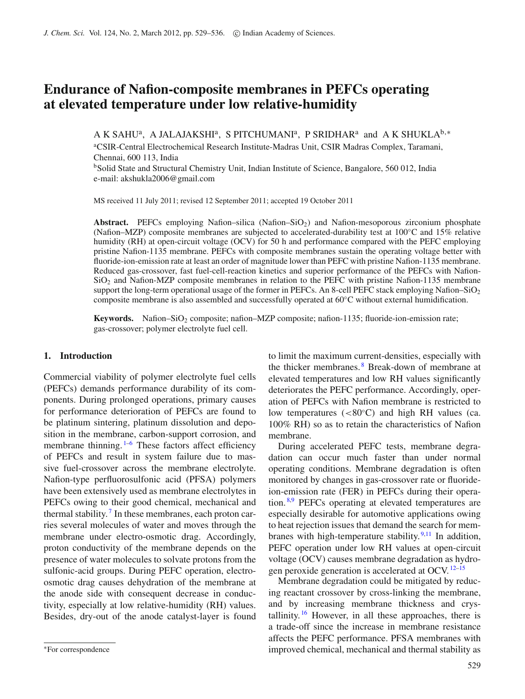# **Endurance of Nafion-composite membranes in PEFCs operating at elevated temperature under low relative-humidity**

A K SAHU<sup>a</sup>, A JALAJAKSHI<sup>a</sup>, S PITCHUMANI<sup>a</sup>, P SRIDHAR<sup>a</sup> and A K SHUKLA<sup>b,∗</sup> a CSIR-Central Electrochemical Research Institute-Madras Unit, CSIR Madras Complex, Taramani, Chennai, 600 113, India

<sup>b</sup>Solid State and Structural Chemistry Unit, Indian Institute of Science, Bangalore, 560 012, India e-mail: akshukla2006@gmail.com

MS received 11 July 2011; revised 12 September 2011; accepted 19 October 2011

Abstract. PEFCs employing Nafion–silica (Nafion–SiO<sub>2</sub>) and Nafion-mesoporous zirconium phosphate (Nafion–MZP) composite membranes are subjected to accelerated-durability test at 100◦C and 15% relative humidity (RH) at open-circuit voltage (OCV) for 50 h and performance compared with the PEFC employing pristine Nafion-1135 membrane. PEFCs with composite membranes sustain the operating voltage better with fluoride-ion-emission rate at least an order of magnitude lower than PEFC with pristine Nafion-1135 membrane. Reduced gas-crossover, fast fuel-cell-reaction kinetics and superior performance of the PEFCs with Nafion-SiO2 and Nafion-MZP composite membranes in relation to the PEFC with pristine Nafion-1135 membrane support the long-term operational usage of the former in PEFCs. An 8-cell PEFC stack employing Nafion–SiO<sub>2</sub> composite membrane is also assembled and successfully operated at 60◦C without external humidification.

Keywords. Nafion–SiO<sub>2</sub> composite; nafion–MZP composite; nafion-1135; fluoride-ion-emission rate; gas-crossover; polymer electrolyte fuel cell.

## **1. Introduction**

Commercial viability of polymer electrolyte fuel cells (PEFCs) demands performance durability of its components. During prolonged operations, primary causes for performance deterioration of PEFCs are found to be platinum sintering, platinum dissolution and deposition in the membrane, carbon-support corrosion, and membrane thinning.<sup>[1](#page-6-0)-6</sup> These factors affect efficiency of PEFCs and result in system failure due to massive fuel-crossover across the membrane electrolyte. Nafion-type perfluorosulfonic acid (PFSA) polymers have been extensively used as membrane electrolytes in PEFCs owing to their good chemical, mechanical and thermal stability.<sup>[7](#page-6-2)</sup> In these membranes, each proton carries several molecules of water and moves through the membrane under electro-osmotic drag. Accordingly, proton conductivity of the membrane depends on the presence of water molecules to solvate protons from the sulfonic-acid groups. During PEFC operation, electroosmotic drag causes dehydration of the membrane at the anode side with consequent decrease in conductivity, especially at low relative-humidity (RH) values. Besides, dry-out of the anode catalyst-layer is found to limit the maximum current-densities, especially with the thicker membranes. [8](#page-6-3) Break-down of membrane at elevated temperatures and low RH values significantly deteriorates the PEFC performance. Accordingly, operation of PEFCs with Nafion membrane is restricted to low temperatures  $(<80$ °C) and high RH values (ca.100% RH) so as to retain the characteristics of Nafion membrane.

During accelerated PEFC tests, membrane degradation can occur much faster than under normal operating conditions. Membrane degradation is often monitored by changes in gas-crossover rate or fluorideion-emission rate (FER) in PEFCs during their operation.  $8.9$  $8.9$  PEFCs operating at elevated temperatures are especially desirable for automotive applications owing to heat rejection issues that demand the search for membranes with high-temperature stability.  $9,11$  $9,11$  In addition, PEFC operation under low RH values at open-circuit voltage (OCV) causes membrane degradation as hydro-gen peroxide generation is accelerated at OCV.<sup>[12](#page-6-6)[–15](#page-6-7)</sup>

Membrane degradation could be mitigated by reducing reactant crossover by cross-linking the membrane, and by increasing membrane thickness and crystallinity.  $16$  However, in all these approaches, there is a trade-off since the increase in membrane resistance affects the PEFC performance. PFSA membranes with improved chemical, mechanical and thermal stability as

<sup>∗</sup>For correspondence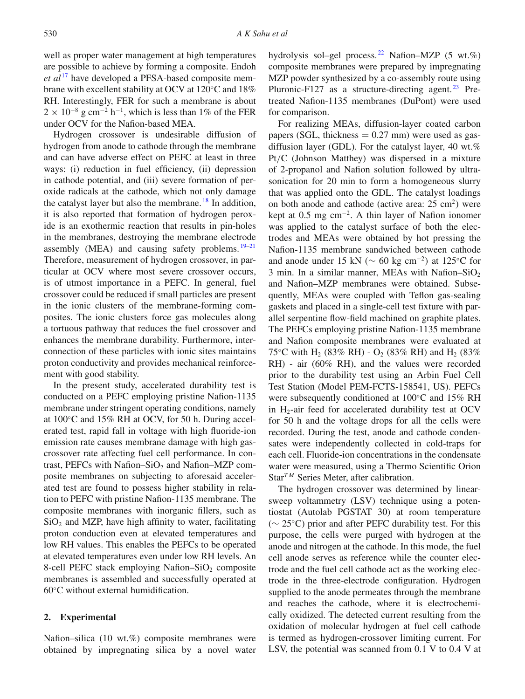well as proper water management at high temperatures are possible to achieve by forming a composite. Endoh *et al* [17](#page-7-0) have developed a PFSA-based composite membrane with excellent stability at OCV at 120◦C and 18% RH. Interestingly, FER for such a membrane is about  $2 \times 10^{-8}$  g cm<sup>-2</sup> h<sup>-1</sup>, which is less than 1% of the FER under OCV for the Nafion-based MEA.

Hydrogen crossover is undesirable diffusion of hydrogen from anode to cathode through the membrane and can have adverse effect on PEFC at least in three ways: (i) reduction in fuel efficiency, (ii) depression in cathode potential, and (iii) severe formation of peroxide radicals at the cathode, which not only damage the catalyst layer but also the membrane.  $^{18}$  $^{18}$  $^{18}$  In addition, it is also reported that formation of hydrogen peroxide is an exothermic reaction that results in pin-holes in the membranes, destroying the membrane electrode assembly (MEA) and causing safety problems.  $19-21$  $19-21$ Therefore, measurement of hydrogen crossover, in particular at OCV where most severe crossover occurs, is of utmost importance in a PEFC. In general, fuel crossover could be reduced if small particles are present in the ionic clusters of the membrane-forming composites. The ionic clusters force gas molecules along a tortuous pathway that reduces the fuel crossover and enhances the membrane durability. Furthermore, interconnection of these particles with ionic sites maintains proton conductivity and provides mechanical reinforcement with good stability.

In the present study, accelerated durability test is conducted on a PEFC employing pristine Nafion-1135 membrane under stringent operating conditions, namely at 100◦C and 15% RH at OCV, for 50 h. During accelerated test, rapid fall in voltage with high fluoride-ion emission rate causes membrane damage with high gascrossover rate affecting fuel cell performance. In contrast, PEFCs with Nafion–SiO<sub>2</sub> and Nafion–MZP composite membranes on subjecting to aforesaid accelerated test are found to possess higher stability in relation to PEFC with pristine Nafion-1135 membrane. The composite membranes with inorganic fillers, such as  $SiO<sub>2</sub>$  and MZP, have high affinity to water, facilitating proton conduction even at elevated temperatures and low RH values. This enables the PEFCs to be operated at elevated temperatures even under low RH levels. An 8-cell PEFC stack employing Nafion– $SiO<sub>2</sub>$  composite membranes is assembled and successfully operated at 60◦C without external humidification.

## **2. Experimental**

Nafion–silica (10 wt.%) composite membranes were obtained by impregnating silica by a novel water hydrolysis sol–gel process.<sup>[22](#page-7-4)</sup> Nafion–MZP (5 wt.%) composite membranes were prepared by impregnating MZP powder synthesized by a co-assembly route using Pluronic-F127 as a structure-directing agent. $^{23}$  $^{23}$  $^{23}$  Pretreated Nafion-1135 membranes (DuPont) were used for comparison.

For realizing MEAs, diffusion-layer coated carbon papers (SGL, thickness  $= 0.27$  mm) were used as gasdiffusion layer (GDL). For the catalyst layer, 40 wt.% Pt/C (Johnson Matthey) was dispersed in a mixture of 2-propanol and Nafion solution followed by ultrasonication for 20 min to form a homogeneous slurry that was applied onto the GDL. The catalyst loadings on both anode and cathode (active area:  $25 \text{ cm}^2$ ) were kept at 0.5 mg cm<sup>−</sup>2. A thin layer of Nafion ionomer was applied to the catalyst surface of both the electrodes and MEAs were obtained by hot pressing the Nafion-1135 membrane sandwiched between cathode and anode under 15 kN ( $\sim$  60 kg cm<sup>-2</sup>) at 125°C for 3 min. In a similar manner, MEAs with Nafion–SiO<sub>2</sub> and Nafion–MZP membranes were obtained. Subsequently, MEAs were coupled with Teflon gas-sealing gaskets and placed in a single-cell test fixture with parallel serpentine flow-field machined on graphite plates. The PEFCs employing pristine Nafion-1135 membrane and Nafion composite membranes were evaluated at 75 °C with H<sub>2</sub> (83% RH) - O<sub>2</sub> (83% RH) and H<sub>2</sub> (83%) RH) - air (60% RH), and the values were recorded prior to the durability test using an Arbin Fuel Cell Test Station (Model PEM-FCTS-158541, US). PEFCs were subsequently conditioned at 100◦C and 15% RH in  $H_2$ -air feed for accelerated durability test at OCV for 50 h and the voltage drops for all the cells were recorded. During the test, anode and cathode condensates were independently collected in cold-traps for each cell. Fluoride-ion concentrations in the condensate water were measured, using a Thermo Scientific Orion Star<sup>TM</sup> Series Meter, after calibration.

The hydrogen crossover was determined by linearsweep voltammetry (LSV) technique using a potentiostat (Autolab PGSTAT 30) at room temperature ( $\sim$  25 $\degree$ C) prior and after PEFC durability test. For this purpose, the cells were purged with hydrogen at the anode and nitrogen at the cathode. In this mode, the fuel cell anode serves as reference while the counter electrode and the fuel cell cathode act as the working electrode in the three-electrode configuration. Hydrogen supplied to the anode permeates through the membrane and reaches the cathode, where it is electrochemically oxidized. The detected current resulting from the oxidation of molecular hydrogen at fuel cell cathode is termed as hydrogen-crossover limiting current. For LSV, the potential was scanned from 0.1 V to 0.4 V at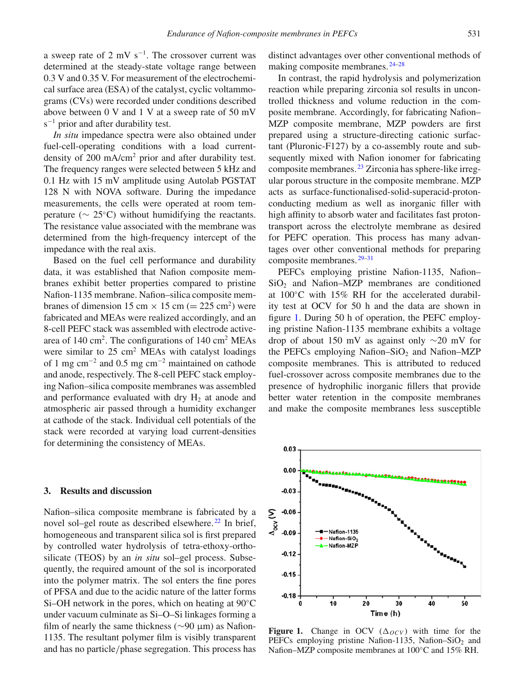a sweep rate of 2 mV  $s^{-1}$ . The crossover current was determined at the steady-state voltage range between 0.3 V and 0.35 V. For measurement of the electrochemical surface area (ESA) of the catalyst, cyclic voltammograms (CVs) were recorded under conditions described above between 0 V and 1 V at a sweep rate of 50 mV s<sup>-1</sup> prior and after durability test.

*In situ* impedance spectra were also obtained under fuel-cell-operating conditions with a load currentdensity of 200 mA/cm<sup>2</sup> prior and after durability test. The frequency ranges were selected between 5 kHz and 0.1 Hz with 15 mV amplitude using Autolab PGSTAT 128 N with NOVA software. During the impedance measurements, the cells were operated at room temperature ( $\sim 25$ °C) without humidifying the reactants. The resistance value associated with the membrane was determined from the high-frequency intercept of the impedance with the real axis.

Based on the fuel cell performance and durability data, it was established that Nafion composite membranes exhibit better properties compared to pristine Nafion-1135 membrane. Nafion–silica composite membranes of dimension 15 cm  $\times$  15 cm (= 225 cm<sup>2</sup>) were fabricated and MEAs were realized accordingly, and an 8-cell PEFC stack was assembled with electrode activearea of  $140 \text{ cm}^2$ . The configurations of  $140 \text{ cm}^2$  MEAs were similar to  $25 \text{ cm}^2$  MEAs with catalyst loadings of 1 mg cm<sup>−</sup><sup>2</sup> and 0.5 mg cm<sup>−</sup><sup>2</sup> maintained on cathode and anode, respectively. The 8-cell PEFC stack employing Nafion–silica composite membranes was assembled and performance evaluated with dry  $H_2$  at anode and atmospheric air passed through a humidity exchanger at cathode of the stack. Individual cell potentials of the stack were recorded at varying load current-densities for determining the consistency of MEAs.

#### **3. Results and discussion**

Nafion–silica composite membrane is fabricated by a novel sol–gel route as described elsewhere.<sup>[22](#page-7-4)</sup> In brief, homogeneous and transparent silica sol is first prepared by controlled water hydrolysis of tetra-ethoxy-orthosilicate (TEOS) by an *in situ* sol–gel process. Subsequently, the required amount of the sol is incorporated into the polymer matrix. The sol enters the fine pores of PFSA and due to the acidic nature of the latter forms Si–OH network in the pores, which on heating at 90◦C under vacuum culminate as Si–O–Si linkages forming a film of nearly the same thickness (∼90 μm) as Nafion-1135. The resultant polymer film is visibly transparent and has no particle/phase segregation. This process has distinct advantages over other conventional methods of making composite membranes. [24](#page-7-6)[–28](#page-7-7)

In contrast, the rapid hydrolysis and polymerization reaction while preparing zirconia sol results in uncontrolled thickness and volume reduction in the composite membrane. Accordingly, for fabricating Nafion– MZP composite membrane, MZP powders are first prepared using a structure-directing cationic surfactant (Pluronic-F127) by a co-assembly route and subsequently mixed with Nafion ionomer for fabricating composite membranes. [23](#page-7-5) Zirconia has sphere-like irregular porous structure in the composite membrane. MZP acts as surface-functionalised-solid-superacid-protonconducting medium as well as inorganic filler with high affinity to absorb water and facilitates fast protontransport across the electrolyte membrane as desired for PEFC operation. This process has many advantages over other conventional methods for preparing composite membranes. [29](#page-7-8)[–31](#page-7-9)

PEFCs employing pristine Nafion-1135, Nafion–  $SiO<sub>2</sub>$  and Nafion–MZP membranes are conditioned at 100◦C with 15% RH for the accelerated durability test at OCV for 50 h and the data are shown in figure [1.](#page-2-0) During 50 h of operation, the PEFC employing pristine Nafion-1135 membrane exhibits a voltage drop of about 150 mV as against only ∼20 mV for the PEFCs employing Nafion–SiO<sub>2</sub> and Nafion–MZP composite membranes. This is attributed to reduced fuel-crossover across composite membranes due to the presence of hydrophilic inorganic fillers that provide better water retention in the composite membranes and make the composite membranes less susceptible

<span id="page-2-0"></span>

**Figure 1.** Change in OCV ( $\Delta_{OCV}$ ) with time for the PEFCs employing pristine Nafion-1135, Nafion–SiO<sub>2</sub> and Nafion–MZP composite membranes at 100◦C and 15% RH.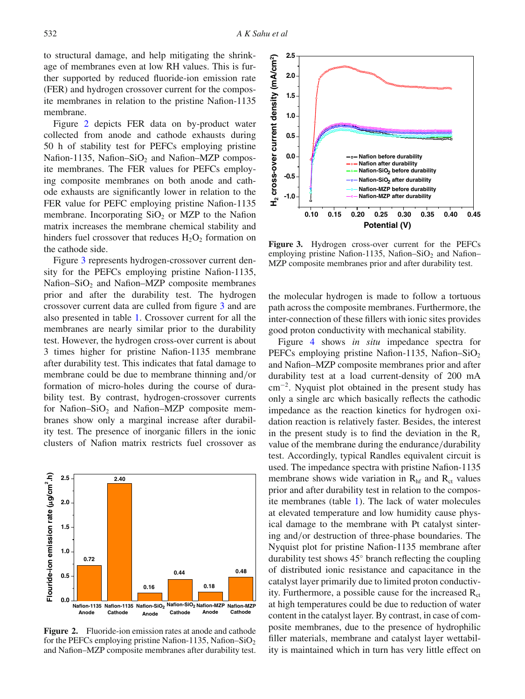to structural damage, and help mitigating the shrinkage of membranes even at low RH values. This is further supported by reduced fluoride-ion emission rate (FER) and hydrogen crossover current for the composite membranes in relation to the pristine Nafion-1135 membrane.

Figure [2](#page-3-0) depicts FER data on by-product water collected from anode and cathode exhausts during 50 h of stability test for PEFCs employing pristine Nafion-1135, Nafion–SiO<sub>2</sub> and Nafion–MZP composite membranes. The FER values for PEFCs employing composite membranes on both anode and cathode exhausts are significantly lower in relation to the FER value for PEFC employing pristine Nafion-1135 membrane. Incorporating  $SiO<sub>2</sub>$  or MZP to the Nafion matrix increases the membrane chemical stability and hinders fuel crossover that reduces  $H_2O_2$  formation on the cathode side.

Figure [3](#page-3-1) represents hydrogen-crossover current density for the PEFCs employing pristine Nafion-1135, Nafion–SiO<sub>2</sub> and Nafion–MZP composite membranes prior and after the durability test. The hydrogen crossover current data are culled from figure [3](#page-3-1) and are also presented in table [1.](#page-4-0) Crossover current for all the membranes are nearly similar prior to the durability test. However, the hydrogen cross-over current is about 3 times higher for pristine Nafion-1135 membrane after durability test. This indicates that fatal damage to membrane could be due to membrane thinning and/or formation of micro-holes during the course of durability test. By contrast, hydrogen-crossover currents for Nafion–SiO<sub>2</sub> and Nafion–MZP composite membranes show only a marginal increase after durability test. The presence of inorganic fillers in the ionic clusters of Nafion matrix restricts fuel crossover as

<span id="page-3-0"></span>

**Figure 2.** Fluoride-ion emission rates at anode and cathode for the PEFCs employing pristine Nafion-1135, Nafion–SiO<sub>2</sub> and Nafion–MZP composite membranes after durability test.

<span id="page-3-1"></span>

**Figure 3.** Hydrogen cross-over current for the PEFCs employing pristine Nafion-1135, Nafion–SiO<sub>2</sub> and Nafion– MZP composite membranes prior and after durability test.

the molecular hydrogen is made to follow a tortuous path across the composite membranes. Furthermore, the inter-connection of these fillers with ionic sites provides good proton conductivity with mechanical stability.

Figure [4](#page-4-1) shows *in situ* impedance spectra for PEFCs employing pristine Nafion-1135, Nafion–SiO<sub>2</sub> and Nafion–MZP composite membranes prior and after durability test at a load current-density of 200 mA cm<sup>−</sup>2. Nyquist plot obtained in the present study has only a single arc which basically reflects the cathodic impedance as the reaction kinetics for hydrogen oxidation reaction is relatively faster. Besides, the interest in the present study is to find the deviation in the R*<sup>s</sup>* value of the membrane during the endurance/durability test. Accordingly, typical Randles equivalent circuit is used. The impedance spectra with pristine Nafion-1135 membrane shows wide variation in  $R<sub>hf</sub>$  and  $R<sub>ct</sub>$  values prior and after durability test in relation to the composite membranes (table [1\)](#page-4-0). The lack of water molecules at elevated temperature and low humidity cause physical damage to the membrane with Pt catalyst sintering and/or destruction of three-phase boundaries. The Nyquist plot for pristine Nafion-1135 membrane after durability test shows 45◦ branch reflecting the coupling of distributed ionic resistance and capacitance in the catalyst layer primarily due to limited proton conductivity. Furthermore, a possible cause for the increased  $R<sub>ct</sub>$ at high temperatures could be due to reduction of water content in the catalyst layer. By contrast, in case of composite membranes, due to the presence of hydrophilic filler materials, membrane and catalyst layer wettability is maintained which in turn has very little effect on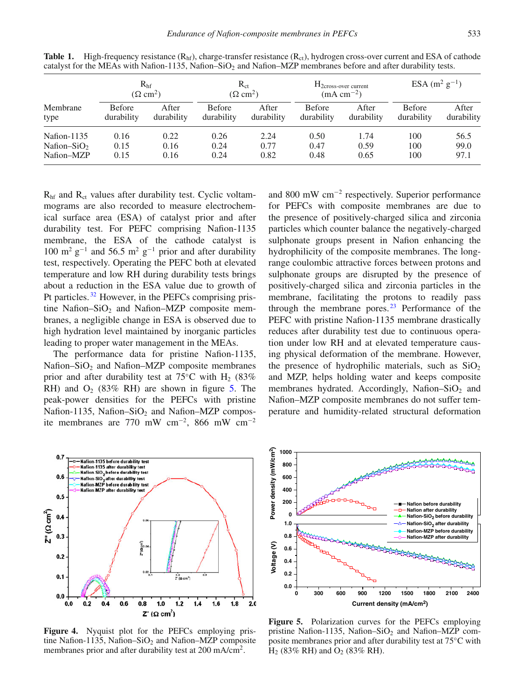| Membrane<br>type        | R <sub>hf</sub><br>$(\Omega \text{ cm}^2)$ |                     | $R_{ct}$<br>$(\Omega \text{ cm}^2)$ |                     | $H_{2cross-over current}$<br>$(mA cm^{-2})$ |                     | ESA $(m^2 g^{-1})$          |                     |
|-------------------------|--------------------------------------------|---------------------|-------------------------------------|---------------------|---------------------------------------------|---------------------|-----------------------------|---------------------|
|                         | <b>Before</b><br>durability                | After<br>durability | <b>Before</b><br>durability         | After<br>durability | <b>Before</b><br>durability                 | After<br>durability | <b>Before</b><br>durability | After<br>durability |
| Nafion-1135             | 0.16                                       | 0.22                | 0.26                                | 2.24                | 0.50                                        | 1.74                | 100                         | 56.5                |
| Nafion–SiO <sub>2</sub> | 0.15                                       | 0.16                | 0.24                                | 0.77                | 0.47                                        | 0.59                | 100                         | 99.0                |
| Nafion-MZP              | 0.15                                       | 0.16                | 0.24                                | 0.82                | 0.48                                        | 0.65                | 100                         | 97.1                |

<span id="page-4-0"></span>**Table 1.** High-frequency resistance  $(R<sub>hf</sub>)$ , charge-transfer resistance  $(R<sub>ct</sub>)$ , hydrogen cross-over current and ESA of cathode catalyst for the MEAs with Nafion-1135, Nafion–SiO<sub>2</sub> and Nafion–MZP membranes before and after durability tests.

 $R<sub>hf</sub>$  and  $R<sub>ct</sub>$  values after durability test. Cyclic voltammograms are also recorded to measure electrochemical surface area (ESA) of catalyst prior and after durability test. For PEFC comprising Nafion-1135 membrane, the ESA of the cathode catalyst is 100 m<sup>2</sup> g<sup>-1</sup> and 56.5 m<sup>2</sup> g<sup>-1</sup> prior and after durability test, respectively. Operating the PEFC both at elevated temperature and low RH during durability tests brings about a reduction in the ESA value due to growth of Pt particles.<sup>[32](#page-7-10)</sup> However, in the PEFCs comprising pristine Nafion–SiO<sub>2</sub> and Nafion–MZP composite membranes, a negligible change in ESA is observed due to high hydration level maintained by inorganic particles leading to proper water management in the MEAs.

The performance data for pristine Nafion-1135, Nafion–Si $O_2$  and Nafion–MZP composite membranes prior and after durability test at 75°C with H<sub>2</sub> (83%) RH) and  $O_2$  (83% RH) are shown in figure [5.](#page-4-2) The peak-power densities for the PEFCs with pristine Nafion-1135, Nafion–SiO<sub>2</sub> and Nafion–MZP composite membranes are 770 mW cm<sup>−</sup>2, 866 mW cm<sup>−</sup><sup>2</sup>

<span id="page-4-1"></span>

Figure 4. Nyquist plot for the PEFCs employing pristine Nafion-1135, Nafion–SiO<sub>2</sub> and Nafion–MZP composite membranes prior and after durability test at 200 mA/cm<sup>2</sup>.

and 800 mW cm<sup>−</sup><sup>2</sup> respectively. Superior performance for PEFCs with composite membranes are due to the presence of positively-charged silica and zirconia particles which counter balance the negatively-charged sulphonate groups present in Nafion enhancing the hydrophilicity of the composite membranes. The longrange coulombic attractive forces between protons and sulphonate groups are disrupted by the presence of positively-charged silica and zirconia particles in the membrane, facilitating the protons to readily pass through the membrane pores. $23$  Performance of the PEFC with pristine Nafion-1135 membrane drastically reduces after durability test due to continuous operation under low RH and at elevated temperature causing physical deformation of the membrane. However, the presence of hydrophilic materials, such as  $SiO<sub>2</sub>$ and MZP, helps holding water and keeps composite membranes hydrated. Accordingly, Nafion–SiO<sub>2</sub> and Nafion–MZP composite membranes do not suffer temperature and humidity-related structural deformation

<span id="page-4-2"></span>

**Figure 5.** Polarization curves for the PEFCs employing pristine Nafion-1135, Nafion–SiO<sub>2</sub> and Nafion–MZP composite membranes prior and after durability test at 75◦C with  $H_2$  (83% RH) and  $O_2$  (83% RH).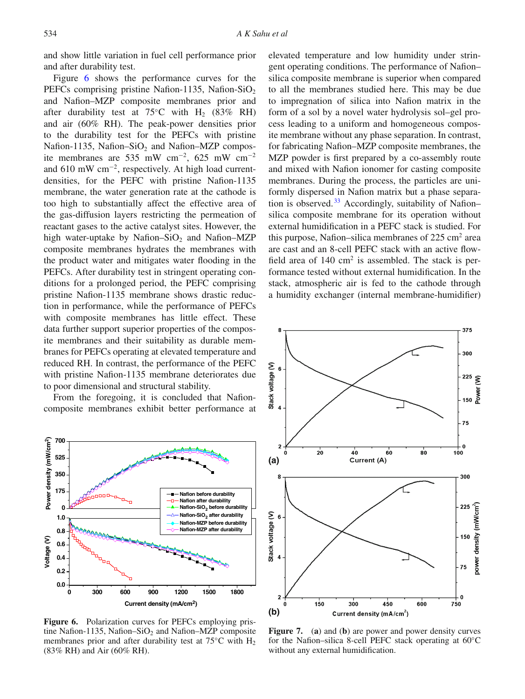and show little variation in fuel cell performance prior and after durability test.

Figure [6](#page-5-0) shows the performance curves for the PEFCs comprising pristine Nafion-1135, Nafion-SiO<sub>2</sub> and Nafion–MZP composite membranes prior and after durability test at 75°C with H<sub>2</sub> (83% RH) and air (60% RH). The peak-power densities prior to the durability test for the PEFCs with pristine Nafion-1135, Nafion–SiO<sub>2</sub> and Nafion–MZP composite membranes are 535 mW cm<sup>−</sup>2, 625 mW cm<sup>−</sup><sup>2</sup> and 610 mW cm<sup>−</sup>2, respectively. At high load currentdensities, for the PEFC with pristine Nafion-1135 membrane, the water generation rate at the cathode is too high to substantially affect the effective area of the gas-diffusion layers restricting the permeation of reactant gases to the active catalyst sites. However, the high water-uptake by Nafion–SiO<sub>2</sub> and Nafion–MZP composite membranes hydrates the membranes with the product water and mitigates water flooding in the PEFCs. After durability test in stringent operating conditions for a prolonged period, the PEFC comprising pristine Nafion-1135 membrane shows drastic reduction in performance, while the performance of PEFCs with composite membranes has little effect. These data further support superior properties of the composite membranes and their suitability as durable membranes for PEFCs operating at elevated temperature and reduced RH. In contrast, the performance of the PEFC with pristine Nafion-1135 membrane deteriorates due to poor dimensional and structural stability.

From the foregoing, it is concluded that Nafioncomposite membranes exhibit better performance at

<span id="page-5-0"></span>

**Figure 6.** Polarization curves for PEFCs employing pristine Nafion-1135, Nafion–SiO<sub>2</sub> and Nafion–MZP composite membranes prior and after durability test at  $75^{\circ}$ C with H<sub>2</sub> (83% RH) and Air (60% RH).

elevated temperature and low humidity under stringent operating conditions. The performance of Nafion– silica composite membrane is superior when compared to all the membranes studied here. This may be due to impregnation of silica into Nafion matrix in the form of a sol by a novel water hydrolysis sol–gel process leading to a uniform and homogeneous composite membrane without any phase separation. In contrast, for fabricating Nafion–MZP composite membranes, the MZP powder is first prepared by a co-assembly route and mixed with Nafion ionomer for casting composite membranes. During the process, the particles are uniformly dispersed in Nafion matrix but a phase separa-tion is observed.<sup>[33](#page-7-11)</sup> Accordingly, suitability of Nafion– silica composite membrane for its operation without external humidification in a PEFC stack is studied. For this purpose, Nafion–silica membranes of  $225 \text{ cm}^2$  area are cast and an 8-cell PEFC stack with an active flowfield area of  $140 \text{ cm}^2$  is assembled. The stack is performance tested without external humidification. In the stack, atmospheric air is fed to the cathode through a humidity exchanger (internal membrane-humidifier)

<span id="page-5-1"></span>

**Figure 7.** (**a**) and (**b**) are power and power density curves for the Nafion–silica 8-cell PEFC stack operating at 60◦C without any external humidification.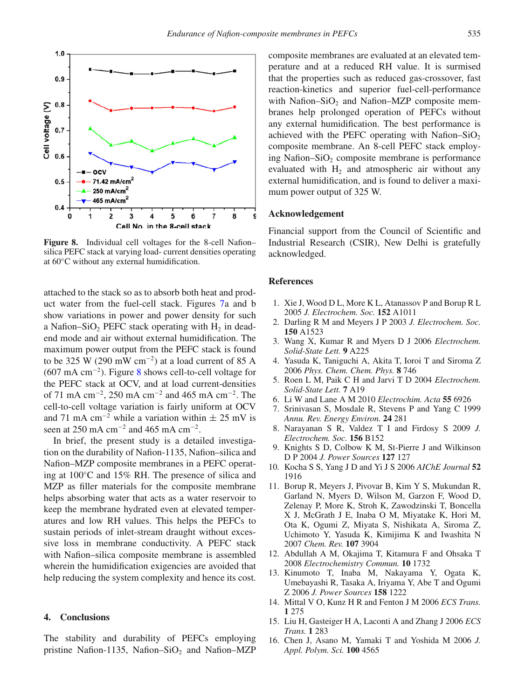<span id="page-6-9"></span>

**Figure 8.** Individual cell voltages for the 8-cell Nafion– silica PEFC stack at varying load- current densities operating at 60◦C without any external humidification.

attached to the stack so as to absorb both heat and product water from the fuel-cell stack. Figures [7a](#page-5-1) and b show variations in power and power density for such a Nafion–SiO<sub>2</sub> PEFC stack operating with  $H_2$  in deadend mode and air without external humidification. The maximum power output from the PEFC stack is found to be 325 W (290 mW cm<sup>-2</sup>) at a load current of 85 A (607 mA cm<sup>−</sup>2). Figure [8](#page-6-9) shows cell-to-cell voltage for the PEFC stack at OCV, and at load current-densities of 71 mA cm<sup>−</sup>2, 250 mA cm<sup>−</sup><sup>2</sup> and 465 mA cm<sup>−</sup>2. The cell-to-cell voltage variation is fairly uniform at OCV and 71 mA cm<sup>-2</sup> while a variation within  $\pm$  25 mV is seen at 250 mA cm<sup>-2</sup> and 465 mA cm<sup>-2</sup>.

In brief, the present study is a detailed investigation on the durability of Nafion-1135, Nafion–silica and Nafion–MZP composite membranes in a PEFC operating at 100◦C and 15% RH. The presence of silica and MZP as filler materials for the composite membrane helps absorbing water that acts as a water reservoir to keep the membrane hydrated even at elevated temperatures and low RH values. This helps the PEFCs to sustain periods of inlet-stream draught without excessive loss in membrane conductivity. A PEFC stack with Nafion–silica composite membrane is assembled wherein the humidification exigencies are avoided that help reducing the system complexity and hence its cost.

## **4. Conclusions**

The stability and durability of PEFCs employing pristine Nafion-1135, Nafion–SiO<sub>2</sub> and Nafion–MZP composite membranes are evaluated at an elevated temperature and at a reduced RH value. It is surmised that the properties such as reduced gas-crossover, fast reaction-kinetics and superior fuel-cell-performance with Nafion–SiO<sub>2</sub> and Nafion–MZP composite membranes help prolonged operation of PEFCs without any external humidification. The best performance is achieved with the PEFC operating with Nafion–SiO<sub>2</sub> composite membrane. An 8-cell PEFC stack employing Nafion–Si $O_2$  composite membrane is performance evaluated with  $H_2$  and atmospheric air without any external humidification, and is found to deliver a maximum power output of 325 W.

## **Acknowledgement**

Financial support from the Council of Scientific and Industrial Research (CSIR), New Delhi is gratefully acknowledged.

### **References**

- <span id="page-6-0"></span>1. Xie J, Wood D L, More K L, Atanassov P and Borup R L 2005 *J. Electrochem. Soc.* **152** A1011
- 2. Darling R M and Meyers J P 2003 *J. Electrochem. Soc.* **150** A1523
- 3. Wang X, Kumar R and Myers D J 2006 *Electrochem. Solid-State Lett.* **9** A225
- 4. Yasuda K, Taniguchi A, Akita T, Ioroi T and Siroma Z 2006 *Phys. Chem. Chem. Phys.* **8** 746
- 5. Roen L M, Paik C H and Jarvi T D 2004 *Electrochem. Solid-State Lett.* **7** A19
- <span id="page-6-1"></span>6. Li W and Lane A M 2010 *Electrochim. Acta* **55** 6926
- <span id="page-6-2"></span>7. Srinivasan S, Mosdale R, Stevens P and Yang C 1999 *Annu. Rev. Energy Environ.* **24** 281
- <span id="page-6-3"></span>8. Narayanan S R, Valdez T I and Firdosy S 2009 *J. Electrochem. Soc.* **156** B152
- <span id="page-6-4"></span>9. Knights S D, Colbow K M, St-Pierre J and Wilkinson D P 2004 *J. Power Sources* **127** 127
- 10. Kocha S S, Yang J D and Yi J S 2006 *AIChE Journal* **52** 1916
- <span id="page-6-5"></span>11. Borup R, Meyers J, Pivovar B, Kim Y S, Mukundan R, Garland N, Myers D, Wilson M, Garzon F, Wood D, Zelenay P, More K, Stroh K, Zawodzinski T, Boncella X J, McGrath J E, Inaba O M, Miyatake K, Hori M, Ota K, Ogumi Z, Miyata S, Nishikata A, Siroma Z, Uchimoto Y, Yasuda K, Kimijima K and Iwashita N 2007 *Chem. Rev.* **107** 3904
- <span id="page-6-6"></span>12. Abdullah A M, Okajima T, Kitamura F and Ohsaka T 2008 *Electrochemistry Commun.* **10** 1732
- 13. Kinumoto T, Inaba M, Nakayama Y, Ogata K, Umebayashi R, Tasaka A, Iriyama Y, Abe T and Ogumi Z 2006 *J. Power Sources* **158** 1222
- 14. Mittal V O, Kunz H R and Fenton J M 2006 *ECS Trans.* **1** 275
- <span id="page-6-7"></span>15. Liu H, Gasteiger H A, Laconti A and Zhang J 2006 *ECS Trans.* **1** 283
- <span id="page-6-8"></span>16. Chen J, Asano M, Yamaki T and Yoshida M 2006 *J. Appl. Polym. Sci.* **100** 4565